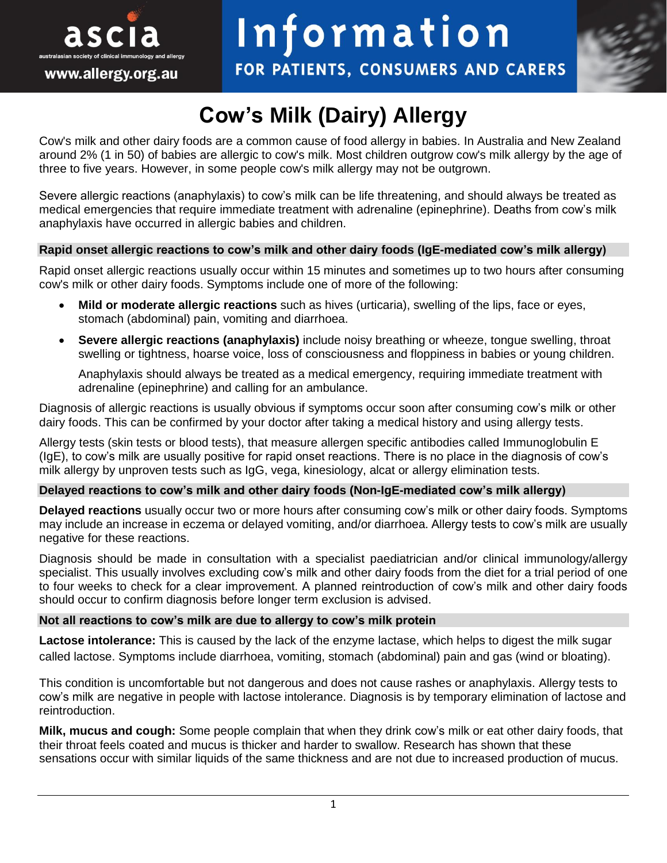

# Information

FOR PATIENTS, CONSUMERS AND CARERS



# **Cow's Milk (Dairy) Allergy**

Cow's milk and other dairy foods are a common cause of food allergy in babies. In Australia and New Zealand around 2% (1 in 50) of babies are allergic to cow's milk. Most children outgrow cow's milk allergy by the age of three to five years. However, in some people cow's milk allergy may not be outgrown.

Severe allergic reactions (anaphylaxis) to cow's milk can be life threatening, and should always be treated as medical emergencies that require immediate treatment with adrenaline (epinephrine). Deaths from cow's milk anaphylaxis have occurred in allergic babies and children.

# **Rapid onset allergic reactions to cow's milk and other dairy foods (IgE-mediated cow's milk allergy)**

Rapid onset allergic reactions usually occur within 15 minutes and sometimes up to two hours after consuming cow's milk or other dairy foods. Symptoms include one of more of the following:

- **Mild or moderate allergic reactions** such as hives (urticaria), swelling of the lips, face or eyes, stomach (abdominal) pain, vomiting and diarrhoea.
- **Severe allergic reactions (anaphylaxis)** include noisy breathing or wheeze, tongue swelling, throat swelling or tightness, hoarse voice, loss of consciousness and floppiness in babies or young children.

Anaphylaxis should always be treated as a medical emergency, requiring immediate treatment with adrenaline (epinephrine) and calling for an ambulance.

Diagnosis of allergic reactions is usually obvious if symptoms occur soon after consuming cow's milk or other dairy foods. This can be confirmed by your doctor after taking a medical history and using allergy tests.

Allergy tests (skin tests or blood tests), that measure allergen specific antibodies called Immunoglobulin E (IgE), to cow's milk are usually positive for rapid onset reactions. There is no place in the diagnosis of cow's milk allergy by unproven tests such as IgG, vega, kinesiology, alcat or allergy elimination tests.

# **Delayed reactions to cow's milk and other dairy foods (Non-IgE-mediated cow's milk allergy)**

**Delayed reactions** usually occur two or more hours after consuming cow's milk or other dairy foods. Symptoms may include an increase in eczema or delayed vomiting, and/or diarrhoea. Allergy tests to cow's milk are usually negative for these reactions.

Diagnosis should be made in consultation with a specialist paediatrician and/or clinical immunology/allergy specialist. This usually involves excluding cow's milk and other dairy foods from the diet for a trial period of one to four weeks to check for a clear improvement. A planned reintroduction of cow's milk and other dairy foods should occur to confirm diagnosis before longer term exclusion is advised.

# **Not all reactions to cow's milk are due to allergy to cow's milk protein**

**Lactose intolerance:** This is caused by the lack of the enzyme lactase, which helps to digest the milk sugar called lactose. Symptoms include diarrhoea, vomiting, stomach (abdominal) pain and gas (wind or bloating).

This condition is uncomfortable but not dangerous and does not cause rashes or anaphylaxis. Allergy tests to cow's milk are negative in people with lactose intolerance. Diagnosis is by temporary elimination of lactose and reintroduction.

**Milk, mucus and cough:** Some people complain that when they drink cow's milk or eat other dairy foods, that their throat feels coated and mucus is thicker and harder to swallow. Research has shown that these sensations occur with similar liquids of the same thickness and are not due to increased production of mucus.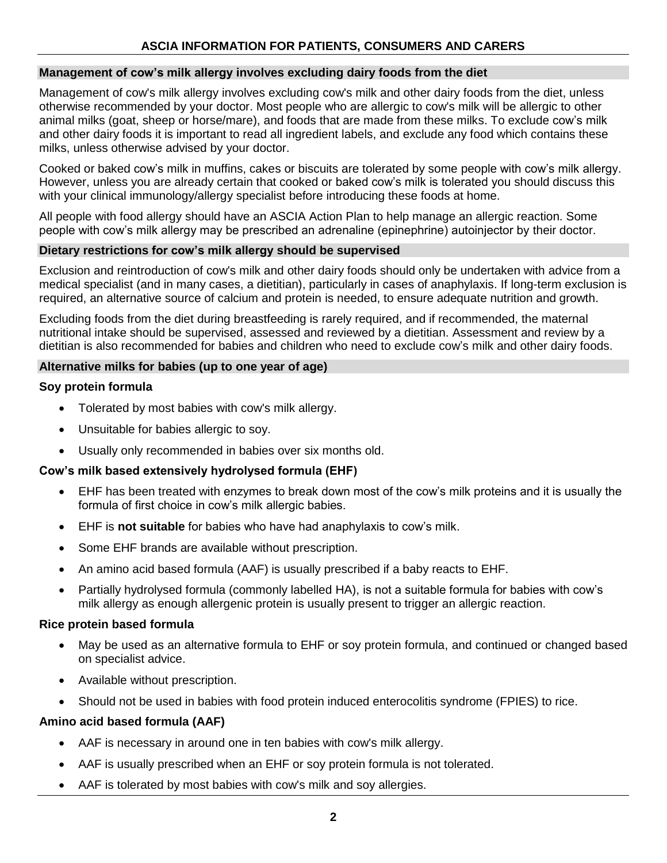# **Management of cow's milk allergy involves excluding dairy foods from the diet**

Management of cow's milk allergy involves excluding cow's milk and other dairy foods from the diet, unless otherwise recommended by your doctor. Most people who are allergic to cow's milk will be allergic to other animal milks (goat, sheep or horse/mare), and foods that are made from these milks. To exclude cow's milk and other dairy foods it is important to read all ingredient labels, and exclude any food which contains these milks, unless otherwise advised by your doctor.

Cooked or baked cow's milk in muffins, cakes or biscuits are tolerated by some people with cow's milk allergy. However, unless you are already certain that cooked or baked cow's milk is tolerated you should discuss this with your clinical immunology/allergy specialist before introducing these foods at home.

All people with food allergy should have an ASCIA Action Plan to help manage an allergic reaction. Some people with cow's milk allergy may be prescribed an adrenaline (epinephrine) autoinjector by their doctor.

# **Dietary restrictions for cow's milk allergy should be supervised**

Exclusion and reintroduction of cow's milk and other dairy foods should only be undertaken with advice from a medical specialist (and in many cases, a dietitian), particularly in cases of anaphylaxis. If long-term exclusion is required, an alternative source of calcium and protein is needed, to ensure adequate nutrition and growth.

Excluding foods from the diet during breastfeeding is rarely required, and if recommended, the maternal nutritional intake should be supervised, assessed and reviewed by a dietitian. Assessment and review by a dietitian is also recommended for babies and children who need to exclude cow's milk and other dairy foods.

# **Alternative milks for babies (up to one year of age)**

# **Soy protein formula**

- Tolerated by most babies with cow's milk allergy.
- Unsuitable for babies allergic to soy.
- Usually only recommended in babies over six months old.

# **Cow's milk based extensively hydrolysed formula (EHF)**

- EHF has been treated with enzymes to break down most of the cow's milk proteins and it is usually the formula of first choice in cow's milk allergic babies.
- EHF is **not suitable** for babies who have had anaphylaxis to cow's milk.
- Some EHF brands are available without prescription.
- An amino acid based formula (AAF) is usually prescribed if a baby reacts to EHF.
- Partially hydrolysed formula (commonly labelled HA), is not a suitable formula for babies with cow's milk allergy as enough allergenic protein is usually present to trigger an allergic reaction.

# **Rice protein based formula**

- May be used as an alternative formula to EHF or soy protein formula, and continued or changed based on specialist advice.
- Available without prescription.
- Should not be used in babies with food protein induced enterocolitis syndrome (FPIES) to rice.

# **Amino acid based formula (AAF)**

- AAF is necessary in around one in ten babies with cow's milk allergy.
- AAF is usually prescribed when an EHF or soy protein formula is not tolerated.
- AAF is tolerated by most babies with cow's milk and soy allergies.